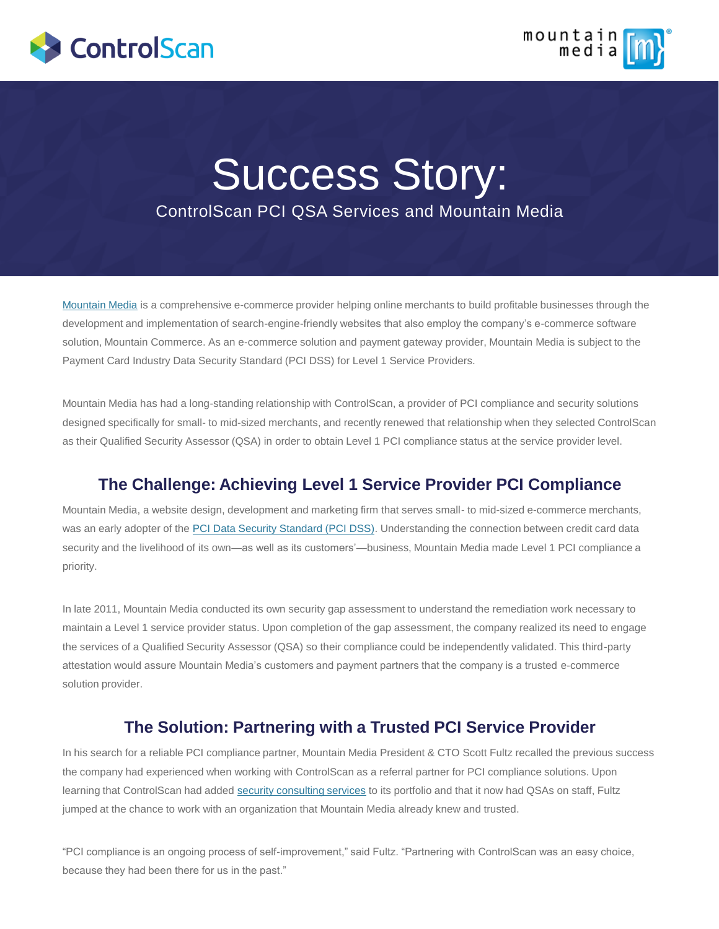



# Success Story: ControlScan PCI QSA Services and Mountain Media

[Mountain Media](http://www.mountainmedia.com/) is a comprehensive e-commerce provider helping online merchants to build profitable businesses through the development and implementation of search-engine-friendly websites that also employ the company's e-commerce software solution, Mountain Commerce. As an e-commerce solution and payment gateway provider, Mountain Media is subject to the Payment Card Industry Data Security Standard (PCI DSS) for Level 1 Service Providers.

Mountain Media has had a long-standing relationship with ControlScan, a provider of PCI compliance and security solutions designed specifically for small- to mid-sized merchants, and recently renewed that relationship when they selected ControlScan as their Qualified Security Assessor (QSA) in order to obtain Level 1 PCI compliance status at the service provider level.

### **The Challenge: Achieving Level 1 Service Provider PCI Compliance**

Mountain Media, a website design, development and marketing firm that serves small- to mid-sized e-commerce merchants, was an early adopter of the [PCI Data Security Standard \(PCI DSS\)](http://www.pcisecuritystandard.org/). Understanding the connection between credit card data security and the livelihood of its own—as well as its customers'—business, Mountain Media made Level 1 PCI compliance a priority.

In late 2011, Mountain Media conducted its own security gap assessment to understand the remediation work necessary to maintain a Level 1 service provider status. Upon completion of the gap assessment, the company realized its need to engage the services of a Qualified Security Assessor (QSA) so their compliance could be independently validated. This third-party attestation would assure Mountain Media's customers and payment partners that the company is a trusted e-commerce solution provider.

### **The Solution: Partnering with a Trusted PCI Service Provider**

In his search for a reliable PCI compliance partner, Mountain Media President & CTO Scott Fultz recalled the previous success the company had experienced when working with ControlScan as a referral partner for PCI compliance solutions. Upon learning that ControlScan had added [security consulting services](https://www.controlscan.com/security/) to its portfolio and that it now had QSAs on staff, Fultz jumped at the chance to work with an organization that Mountain Media already knew and trusted.

"PCI compliance is an ongoing process of self-improvement," said Fultz. "Partnering with ControlScan was an easy choice, because they had been there for us in the past."